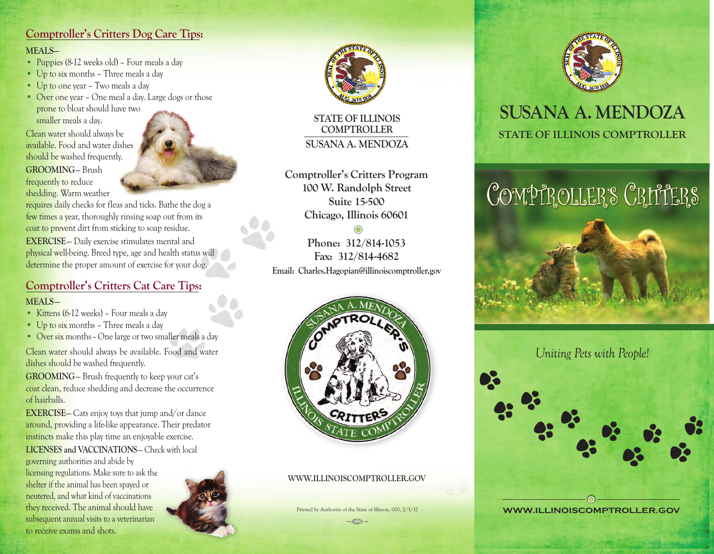# **Comptroller's Critters Dog Care Tips: MEALS—**

- Puppies (8-12 weeks old) Four meals a day
- Up to six months Three meals a day
- Up to one year Two meals a day
- Over one year One meal a day. Large dogs or those prone to bloat should have two smaller meals a day.

Clean water should always be available. Food and water dishes should be washed frequently. **GROOMING**— Brush frequently to reduce shedding. Warm weather

requires daily checks for fleas and ticks. Bathe the dog a few times a year, thoroughly rinsing soap out from its coat to prevent dirt from sticking to soap residue.

**EXERCISE**— Daily exercise stimulates mental and physical well-being. Breed type, age and health status will determine the proper amount of exercise for your dog.

# **Comptroller's Critters Cat Care Tips:**

#### **MEALS—**

- Kittens (6-12 weeks) Four meals a day
- Up to six months Three meals a day
- Over six months–One large or two smaller meals a day

Clean water should always be available. Food and water dishes should be washed frequently.

**GROOMING**— Brush frequently to keep your cat's coat clean, reduce shedding and decrease the occurrence of hairballs.

**EXERCISE**— Cats enjoy toys that jump and/or dance around, providing a life-like appearance. Their predator instincts make this play time an enjoyable exercise. **LICENSES and VACCINATIONS**— Check with local

governing authorities and abide by licensing regulations. Make sure to ask the shelter if the animal has been spayed or neutered, and what kind of vaccinations they received. The animal should have subsequent annual visits to a veterinarian to receive exams and shots.





**STATE OF ILLINOIS COMPTROLLER SUSANA A. MENDOZA**

**Comptroller's Critters Program 100 W. Randolph Street Suite 15-500 Chicago, Illinois 60601** ₹ö.

**Phone: 312/814-1053 Fax: 312/814-4682 Email: Charles.Hagopian@illinoiscomptroller.gov**



**WWW.ILLINOISCOMPTROLLER.GOV**

Printed by Authority of the State of Illinois, 000, 2/3/17  $\bigcirc$ 



# **STATE OF ILLINOIS COMPTROLLER SUSANA A. MENDOZA**

# COMPTROLLER'S CRITTERS



*Uniting Pets with People!*

**WWW.ILLINOISCOMPTROLLER.GOV** Z